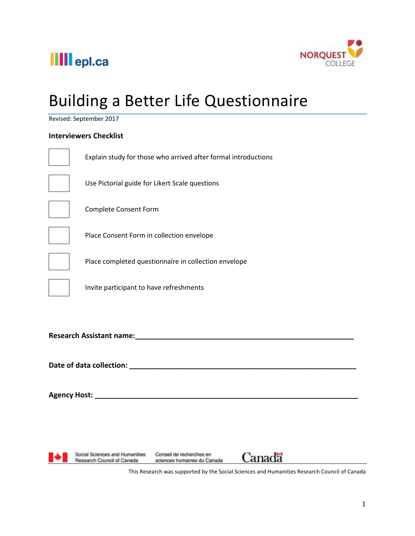



# Building a Better Life Questionnaire

Revised: September 2017

## **Interviewers Checklist**

| Explain study for those who arrived after formal introductions |
|----------------------------------------------------------------|
| Use Pictorial guide for Likert Scale questions                 |
| Complete Consent Form                                          |
| Place Consent Form in collection envelope                      |
| Place completed questionnaire in collection envelope           |
| Invite participant to have refreshments                        |
| Research Assistant name:                                       |
| Date of data collection: _                                     |

Social Sciences and Humanities Research Council of Canada

**Agency Host: We are all that the set of the set of the set of the set of the set of the set of the set of the set of the set of the set of the set of the set of the set of the set of the set of the set of the set of the** 

Conseil de recherches en sciences humaines du Canada Canada

This Research was supported by the Social Sciences and Humanities Research Council of Canada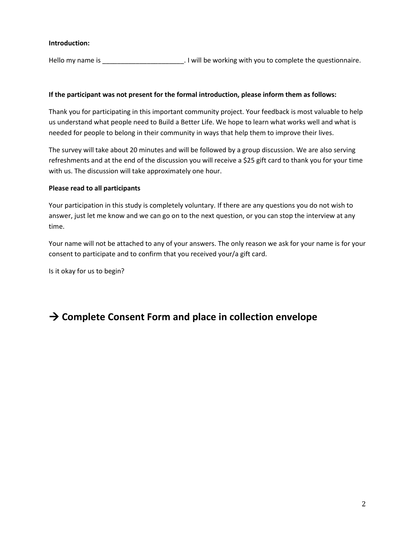#### **Introduction:**

Hello my name is equation is the set of the working with you to complete the questionnaire.

#### **If the participant was not present for the formal introduction, please inform them as follows:**

Thank you for participating in this important community project. Your feedback is most valuable to help us understand what people need to Build a Better Life. We hope to learn what works well and what is needed for people to belong in their community in ways that help them to improve their lives.

The survey will take about 20 minutes and will be followed by a group discussion. We are also serving refreshments and at the end of the discussion you will receive a \$25 gift card to thank you for your time with us. The discussion will take approximately one hour.

#### **Please read to all participants**

Your participation in this study is completely voluntary. If there are any questions you do not wish to answer, just let me know and we can go on to the next question, or you can stop the interview at any time.

Your name will not be attached to any of your answers. The only reason we ask for your name is for your consent to participate and to confirm that you received your/a gift card.

Is it okay for us to begin?

# **→ Complete Consent Form and place in collection envelope**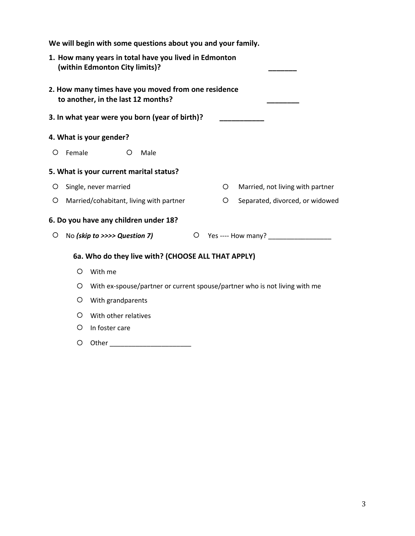|         |        | We will begin with some questions about you and your family.                              |
|---------|--------|-------------------------------------------------------------------------------------------|
|         |        | 1. How many years in total have you lived in Edmonton<br>(within Edmonton City limits)?   |
|         |        | 2. How many times have you moved from one residence<br>to another, in the last 12 months? |
|         |        | 3. In what year were you born (year of birth)?                                            |
|         |        | 4. What is your gender?                                                                   |
| O       | Female | Male<br>O                                                                                 |
|         |        | 5. What is your current marital status?                                                   |
| O       |        | Single, never married<br>$\circ$<br>Married, not living with partner                      |
| $\circ$ |        | $\circ$<br>Married/cohabitant, living with partner<br>Separated, divorced, or widowed     |
|         |        | 6. Do you have any children under 18?                                                     |
| O       |        | No (skip to >>>> Question 7)<br>O<br>Yes ---- How many?                                   |
|         |        | 6a. Who do they live with? (CHOOSE ALL THAT APPLY)                                        |
|         | O      | With me                                                                                   |
|         | O      | With ex-spouse/partner or current spouse/partner who is not living with me                |
|         | O      | With grandparents                                                                         |
|         | O      | With other relatives                                                                      |
|         | O      | In foster care                                                                            |
|         | O      | Other                                                                                     |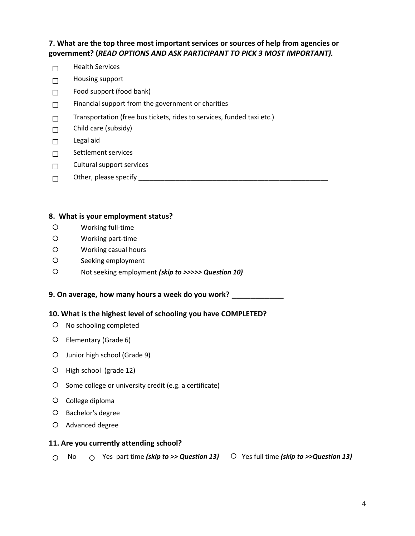**7. What are the top three most important services or sources of help from agencies or government? (***READ OPTIONS AND ASK PARTICIPANT TO PICK 3 MOST IMPORTANT).* 

- Health Services  $\Box$
- Housing support  $\Box$
- Food support (food bank)  $\Box$
- Financial support from the government or charities  $\Box$
- Transportation (free bus tickets, rides to services, funded taxi etc.)  $\Box$
- Child care (subsidy)  $\Box$
- Legal aid  $\Box$
- Settlement services  $\Box$
- Cultural support services  $\Box$
- Other, please specify \_\_\_\_\_\_\_\_\_\_\_\_\_\_\_\_\_\_\_\_\_\_\_\_\_\_\_\_\_\_\_\_\_\_\_\_\_\_\_\_\_\_\_\_\_\_\_\_\_\_\_ $\Box$

#### **8. What is your employment status?**

- $\bigcirc$ Working full-time
- $\circ$ Working part-time
- $\circ$ Working casual hours
- $\circ$ Seeking employment
- $\circ$ Not seeking employment *(skip to >>>>> Question 10)*

**9. On average, how many hours a week do you work? \_\_\_\_\_\_\_\_\_\_\_**

#### **10. What is the highest level of schooling you have COMPLETED?**

- No schooling completed
- Elementary (Grade 6)
- Junior high school (Grade 9)
- $O$  High school (grade 12)
- $\circ$  Some college or university credit (e.g. a certificate)
- College diploma
- O Bachelor's degree
- Advanced degree

#### **11. Are you currently attending school?**

 $\bigcirc$  No  $\bigcirc$  Yes part time *(skip to >> Question 13)*  $\bigcirc$  Yes full time *(skip to >> Question 13)*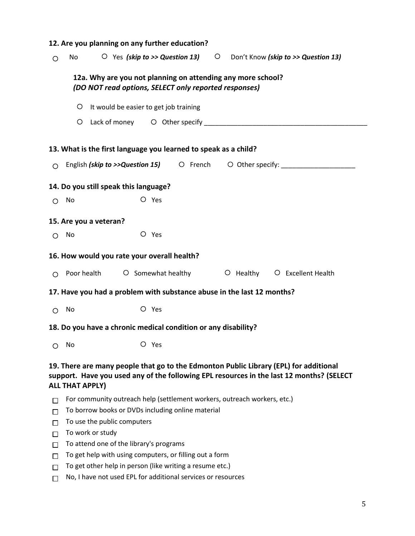|            | 12. Are you planning on any further education?                                                                                                                                                              |
|------------|-------------------------------------------------------------------------------------------------------------------------------------------------------------------------------------------------------------|
| $\circ$    | $\circ$ Yes (skip to >> Question 13)<br>$\circ$ Don't Know (skip to >> Question 13)<br>No                                                                                                                   |
|            | 12a. Why are you not planning on attending any more school?<br>(DO NOT read options, SELECT only reported responses)                                                                                        |
|            | $\circ$<br>It would be easier to get job training                                                                                                                                                           |
|            |                                                                                                                                                                                                             |
|            | 13. What is the first language you learned to speak as a child?                                                                                                                                             |
| $\bigcirc$ | English (skip to >>Question 15)    Q    French    Q    Other specify: ___________                                                                                                                           |
|            | 14. Do you still speak this language?                                                                                                                                                                       |
| $\circ$    | O Yes<br>No                                                                                                                                                                                                 |
|            | 15. Are you a veteran?                                                                                                                                                                                      |
| $\circ$    | $O$ Yes<br>No                                                                                                                                                                                               |
|            | 16. How would you rate your overall health?                                                                                                                                                                 |
| $\bigcirc$ | O Somewhat healthy O Healthy O Excellent Health<br>Poor health                                                                                                                                              |
|            | 17. Have you had a problem with substance abuse in the last 12 months?                                                                                                                                      |
| $\circ$    | $O$ Yes<br>No                                                                                                                                                                                               |
|            | 18. Do you have a chronic medical condition or any disability?                                                                                                                                              |
| O          | O Yes<br>No                                                                                                                                                                                                 |
|            | 19. There are many people that go to the Edmonton Public Library (EPL) for additional<br>support. Have you used any of the following EPL resources in the last 12 months? (SELECT<br><b>ALL THAT APPLY)</b> |
| П          | For community outreach help (settlement workers, outreach workers, etc.)                                                                                                                                    |
| П          | To borrow books or DVDs including online material                                                                                                                                                           |
| П          | To use the public computers                                                                                                                                                                                 |
| П          | To work or study                                                                                                                                                                                            |
| П          | To attend one of the library's programs<br>To get help with using computers, or filling out a form                                                                                                          |
| П          | To get other help in person (like writing a resume etc.)                                                                                                                                                    |
| П<br>П     | No, I have not used EPL for additional services or resources                                                                                                                                                |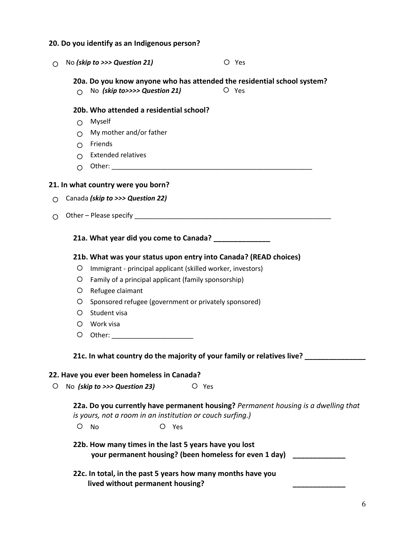# **20. Do you identify as an Indigenous person?**

| Ω       |            | O Yes<br>No (skip to >>> Question 21)                                                                                                                                 |
|---------|------------|-----------------------------------------------------------------------------------------------------------------------------------------------------------------------|
|         | ∩          | 20a. Do you know anyone who has attended the residential school system?<br>$O$ Yes<br>No (skip to>>>> Question 21)                                                    |
|         |            | 20b. Who attended a residential school?                                                                                                                               |
|         | $\circ$    | Myself                                                                                                                                                                |
|         | $\bigcirc$ | My mother and/or father                                                                                                                                               |
|         | $\bigcirc$ | Friends                                                                                                                                                               |
|         | $\circ$    | <b>Extended relatives</b>                                                                                                                                             |
|         | $\circ$    |                                                                                                                                                                       |
|         |            | 21. In what country were you born?                                                                                                                                    |
| ◯       |            | Canada (skip to >>> Question 22)                                                                                                                                      |
| ◯       |            |                                                                                                                                                                       |
|         |            | 21a. What year did you come to Canada? _______________                                                                                                                |
|         |            | 21b. What was your status upon entry into Canada? (READ choices)                                                                                                      |
|         | $\circ$    | Immigrant - principal applicant (skilled worker, investors)                                                                                                           |
|         | Ő          | Family of a principal applicant (family sponsorship)                                                                                                                  |
|         | $\circ$    | Refugee claimant                                                                                                                                                      |
|         | $\circ$    | Sponsored refugee (government or privately sponsored)                                                                                                                 |
|         | $\circ$    | Student visa                                                                                                                                                          |
|         | $\circ$    | Work visa                                                                                                                                                             |
|         | O          |                                                                                                                                                                       |
|         |            | 21c. In what country do the majority of your family or relatives live?                                                                                                |
|         |            | 22. Have you ever been homeless in Canada?                                                                                                                            |
| $\circ$ |            | No (skip to >>> Question 23)<br>O Yes                                                                                                                                 |
|         | $\circ$    | 22a. Do you currently have permanent housing? Permanent housing is a dwelling that<br>is yours, not a room in an institution or couch surfing.)<br><b>No</b><br>O Yes |
|         |            | 22b. How many times in the last 5 years have you lost<br>your permanent housing? (been homeless for even 1 day)                                                       |
|         |            | 22c. In total, in the past 5 years how many months have you<br>lived without permanent housing?                                                                       |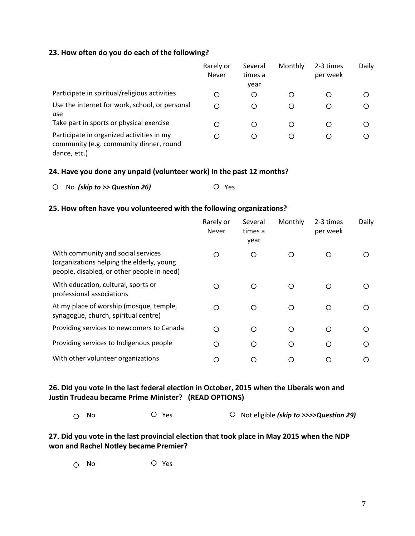## **23. How often do you do each of the following?**

|                                                                                                      | Rarely or<br><b>Never</b> | Several<br>times a<br>year | Monthly          | 2-3 times<br>per week | Daily |
|------------------------------------------------------------------------------------------------------|---------------------------|----------------------------|------------------|-----------------------|-------|
| Participate in spiritual/religious activities                                                        | Ω                         | Ο                          | ()               | Ő                     | С     |
| Use the internet for work, school, or personal<br>use                                                | Ο                         | O                          | O                | Ő                     | Ο     |
| Take part in sports or physical exercise                                                             | O                         | Ω                          | O                | O                     | Ω     |
| Participate in organized activities in my<br>community (e.g. community dinner, round<br>dance, etc.) | Ο                         | Ω                          | $\left( \right)$ | O                     | Ω     |

## **24. Have you done any unpaid (volunteer work) in the past 12 months?**

|  | $\circ$ No (skip to >> Question 26) | O Yes |
|--|-------------------------------------|-------|
|--|-------------------------------------|-------|

## **25. How often have you volunteered with the following organizations?**

|                                                                                                                               | Rarely or<br>Never | Several<br>times a<br>year | Monthly | 2-3 times<br>per week | Daily |
|-------------------------------------------------------------------------------------------------------------------------------|--------------------|----------------------------|---------|-----------------------|-------|
| With community and social services<br>(organizations helping the elderly, young<br>people, disabled, or other people in need) | ∩                  | ◯                          |         |                       |       |
| With education, cultural, sports or<br>professional associations                                                              | Ω                  | ∩                          | ∩       |                       |       |
| At my place of worship (mosque, temple,<br>synagogue, church, spiritual centre)                                               | Ο                  | ◯                          | ∩       | Ω                     |       |
| Providing services to newcomers to Canada                                                                                     | Ο                  | ∩                          | ∩       | Ω                     | ∩     |
| Providing services to Indigenous people                                                                                       | О                  | ◯                          | ∩       | О                     | ∩     |
| With other volunteer organizations                                                                                            |                    |                            |         |                       |       |

# **26. Did you vote in the last federal election in October, 2015 when the Liberals won and Justin Trudeau became Prime Minister? (READ OPTIONS)**

No Yes Not eligible *(skip to >>>>Question 29)*

# **27. Did you vote in the last provincial election that took place in May 2015 when the NDP won and Rachel Notley became Premier?**

No Yes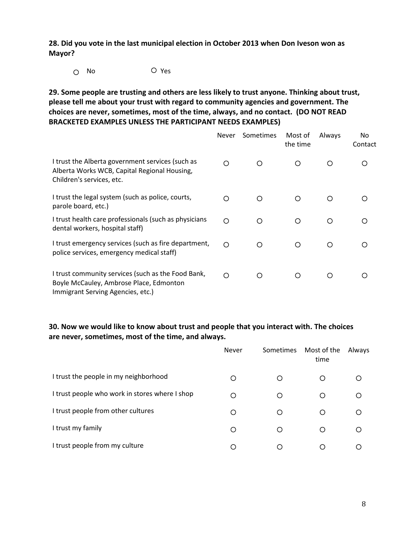**28. Did you vote in the last municipal election in October 2013 when Don Iveson won as Mayor?** 

No Yes

**29. Some people are trusting and others are less likely to trust anyone. Thinking about trust, please tell me about your trust with regard to community agencies and government. The choices are never, sometimes, most of the time, always, and no contact. (DO NOT READ BRACKETED EXAMPLES UNLESS THE PARTICIPANT NEEDS EXAMPLES)**

|                                                                                                                                    | <b>Never</b> | Sometimes | Most of<br>the time | Always | No.<br>Contact |
|------------------------------------------------------------------------------------------------------------------------------------|--------------|-----------|---------------------|--------|----------------|
| I trust the Alberta government services (such as<br>Alberta Works WCB, Capital Regional Housing,<br>Children's services, etc.      | Ο            | O         | Ο                   | O      | ()             |
| I trust the legal system (such as police, courts,<br>parole board, etc.)                                                           | Ω            | ◯         | ∩                   | Ο      |                |
| I trust health care professionals (such as physicians<br>dental workers, hospital staff)                                           | Ο            | O         | ∩                   | O      | ◯              |
| I trust emergency services (such as fire department,<br>police services, emergency medical staff)                                  | $\bigcirc$   | ◯         | ◯                   | O      | ∩              |
| I trust community services (such as the Food Bank,<br>Boyle McCauley, Ambrose Place, Edmonton<br>Immigrant Serving Agencies, etc.) | ◯            | ◯         | ∩                   | O      | ◯              |

# **30. Now we would like to know about trust and people that you interact with. The choices are never, sometimes, most of the time, and always.**

|                                                | Never | Sometimes | Most of the<br>time | Always |
|------------------------------------------------|-------|-----------|---------------------|--------|
| I trust the people in my neighborhood          | Ο     |           | O                   |        |
| I trust people who work in stores where I shop | O     | O         | O                   | O      |
| I trust people from other cultures             | Ο     | Ω         | O                   | Ο      |
| I trust my family                              | Ω     | ∩         | O                   | Ω      |
| I trust people from my culture                 | O     | ∩         | $\left( \right)$    | ( )    |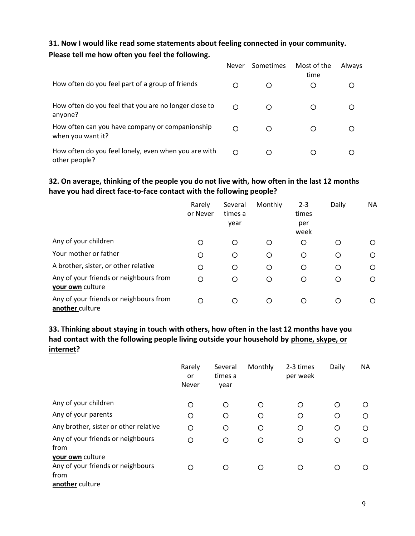# **31. Now I would like read some statements about feeling connected in your community. Please tell me how often you feel the following.**

|                                                                       | Never | Sometimes | Most of the<br>time | Always |
|-----------------------------------------------------------------------|-------|-----------|---------------------|--------|
| How often do you feel part of a group of friends                      |       |           | Ο                   |        |
| How often do you feel that you are no longer close to<br>anyone?      | Ω     |           |                     |        |
| How often can you have company or companionship<br>when you want it?  |       |           |                     |        |
| How often do you feel lonely, even when you are with<br>other people? | ∩     |           |                     |        |

# **32. On average, thinking of the people you do not live with, how often in the last 12 months have you had direct face-to-face contact with the following people?**

|                                                            | Rarely<br>or Never | Several<br>times a<br>year | Monthly | $2 - 3$<br>times<br>per<br>week | Daily | <b>NA</b>        |
|------------------------------------------------------------|--------------------|----------------------------|---------|---------------------------------|-------|------------------|
| Any of your children                                       | Ο                  | Ο                          | O       | O                               | Ω     | O                |
| Your mother or father                                      | О                  | O                          | $\circ$ | O                               | O     | O                |
| A brother, sister, or other relative                       | О                  | O                          | O       | O                               | O     | O                |
| Any of your friends or neighbours from<br>your own culture | Ο                  | O                          | O       | O                               | O     | O                |
| Any of your friends or neighbours from<br>another culture  | О                  | O                          | Ω       | ◯                               | ∩     | $\left( \right)$ |

# **33. Thinking about staying in touch with others, how often in the last 12 months have you had contact with the following people living outside your household by phone, skype, or internet?**

|                                           | Rarely<br>or<br>Never | Several<br>times a<br>year | Monthly | 2-3 times<br>per week | Daily | <b>NA</b>        |
|-------------------------------------------|-----------------------|----------------------------|---------|-----------------------|-------|------------------|
| Any of your children                      | O                     | $\bigcirc$                 | Ω       | O                     | Ω     | O                |
| Any of your parents                       | O                     | O                          | O       | O                     | O     | Ω                |
| Any brother, sister or other relative     | O                     | O                          | O       | O                     | O     | ◯                |
| Any of your friends or neighbours<br>from | O                     | O                          | O       | O                     | O     | ◯                |
| your own culture                          |                       |                            |         |                       |       |                  |
| Any of your friends or neighbours         | ∩                     | O                          | ◯       | O                     | ∩     | $\left( \right)$ |
| from<br>another culture                   |                       |                            |         |                       |       |                  |
|                                           |                       |                            |         |                       |       |                  |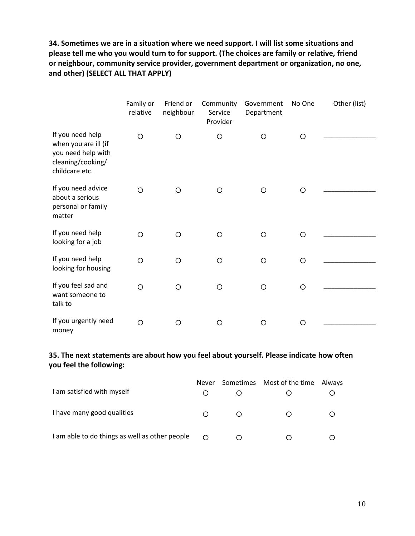**34. Sometimes we are in a situation where we need support. I will list some situations and please tell me who you would turn to for support. (The choices are family or relative, friend or neighbour, community service provider, government department or organization, no one, and other) (SELECT ALL THAT APPLY)**

|                                                                                                       | Family or<br>relative | Friend or<br>neighbour | Community<br>Service<br>Provider | Government<br>Department | No One  | Other (list) |
|-------------------------------------------------------------------------------------------------------|-----------------------|------------------------|----------------------------------|--------------------------|---------|--------------|
| If you need help<br>when you are ill (if<br>you need help with<br>cleaning/cooking/<br>childcare etc. | $\circ$               | $\circ$                | $\circ$                          | $\circ$                  | O       |              |
| If you need advice<br>about a serious<br>personal or family<br>matter                                 | $\circ$               | ◯                      | ∩                                | $\circ$                  | O       |              |
| If you need help<br>looking for a job                                                                 | $\circ$               | $\circ$                | O                                | $\circ$                  | O       |              |
| If you need help<br>looking for housing                                                               | $\circ$               | $\bigcirc$             | $\circ$                          | $\circ$                  | $\circ$ |              |
| If you feel sad and<br>want someone to<br>talk to                                                     | $\circ$               | O                      | $\circ$                          | $\circ$                  | $\circ$ |              |
| If you urgently need<br>money                                                                         | O                     | Ω                      | ∩                                | O                        | O       |              |

# **35. The next statements are about how you feel about yourself. Please indicate how often you feel the following:**

| I am satisfied with myself                     | Never | Sometimes Most of the time | Always |
|------------------------------------------------|-------|----------------------------|--------|
| I have many good qualities                     |       |                            |        |
| I am able to do things as well as other people |       |                            |        |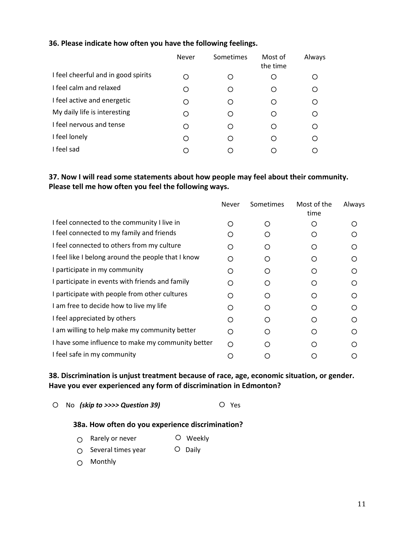## **36. Please indicate how often you have the following feelings.**

|                                     | Never | Sometimes | Most of<br>the time | Always |
|-------------------------------------|-------|-----------|---------------------|--------|
| I feel cheerful and in good spirits | Ο     | С.        |                     |        |
| I feel calm and relaxed             | Ο     | Ω         |                     |        |
| I feel active and energetic         | Ω     | Ω         | Ω                   |        |
| My daily life is interesting        | Ο     | Ω         | O                   |        |
| I feel nervous and tense            | O     | ◯         | O                   |        |
| I feel lonely                       | Ω     | ∩         | Ω                   |        |
| I feel sad                          | ◯     |           |                     |        |

# **37. Now I will read some statements about how people may feel about their community. Please tell me how often you feel the following ways.**

|                                                    | Never | Sometimes | Most of the<br>time | Always |
|----------------------------------------------------|-------|-----------|---------------------|--------|
| I feel connected to the community I live in        | ∩     |           | ∩                   |        |
| I feel connected to my family and friends          |       |           |                     |        |
| I feel connected to others from my culture         | ∩     |           |                     | ∩      |
| I feel like I belong around the people that I know | ∩     |           | ∩                   |        |
| I participate in my community                      | ∩     |           | ∩                   |        |
| I participate in events with friends and family    | ∩     |           | ∩                   |        |
| I participate with people from other cultures      | ∩     | ( )       | ∩                   | ◯      |
| I am free to decide how to live my life            | ∩     |           | ∩                   |        |
| I feel appreciated by others                       | ∩     |           | ∩                   |        |
| I am willing to help make my community better      | ∩     |           | ∩                   |        |
| I have some influence to make my community better  | ∩     |           | ∩                   |        |
| I feel safe in my community                        |       |           |                     |        |

# **38. Discrimination is unjust treatment because of race, age, economic situation, or gender. Have you ever experienced any form of discrimination in Edmonton?**

O No *(skip to >>>> Question 39)* O Yes

#### **38a. How often do you experience discrimination?**

- $\bigcirc$  Rarely or never  $\bigcirc$  Weekly
- $\bigcirc$  Several times year  $\bigcirc$  Daily
- Monthly